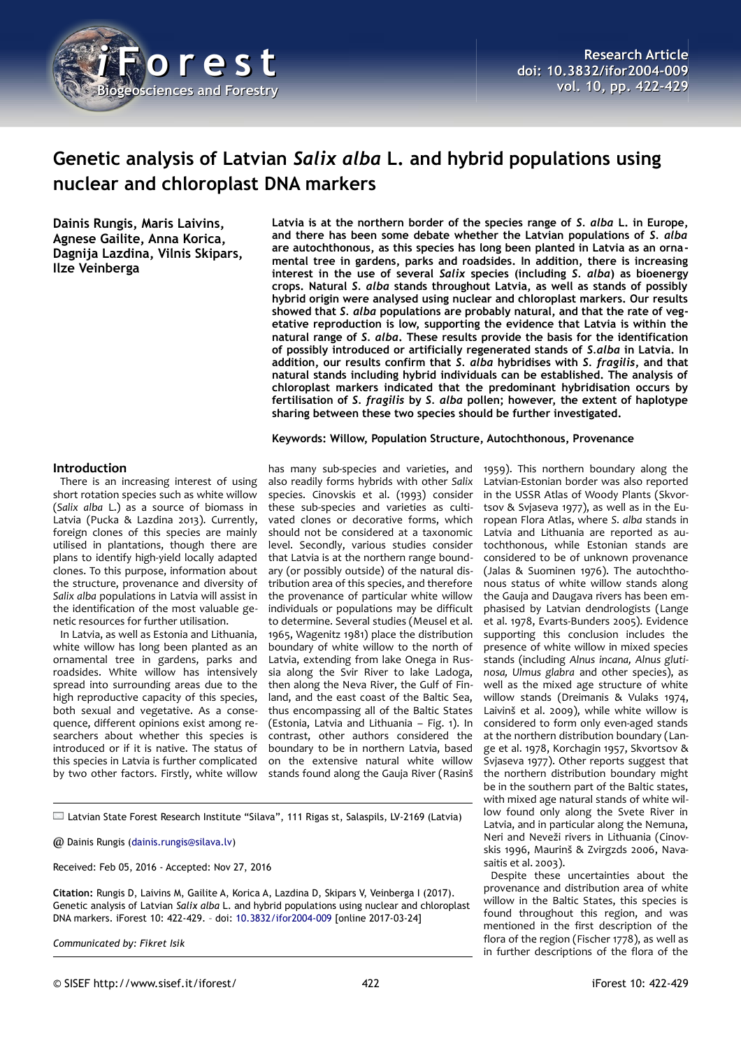

# **Genetic analysis of Latvian** *Salix alba* **L. and hybrid populations using nuclear and chloroplast DNA markers**

**Dainis Rungis, Maris Laivins, Agnese Gailite, Anna Korica, Dagnija Lazdina, Vilnis Skipars, Ilze Veinberga**

**Latvia is at the northern border of the species range of** *S. alba* **L. in Europe, and there has been some debate whether the Latvian populations of** *S. alba* **are autochthonous, as this species has long been planted in Latvia as an ornamental tree in gardens, parks and roadsides. In addition, there is increasing interest in the use of several** *Salix* **species (including** *S. alba***) as bioenergy crops. Natural** *S. alba* **stands throughout Latvia, as well as stands of possibly hybrid origin were analysed using nuclear and chloroplast markers. Our results showed that** *S. alba* **populations are probably natural, and that the rate of vegetative reproduction is low, supporting the evidence that Latvia is within the natural range of** *S. alba***. These results provide the basis for the identification of possibly introduced or artificially regenerated stands of** *S.alba* **in Latvia. In addition, our results confirm that** *S. alba* **hybridises with** *S. fragilis***, and that natural stands including hybrid individuals can be established. The analysis of chloroplast markers indicated that the predominant hybridisation occurs by fertilisation of** *S. fragilis* **by** *S. alba* **pollen; however, the extent of haplotype sharing between these two species should be further investigated.**

#### **Keywords: Willow, Population Structure, Autochthonous, Provenance**

## **Introduction**

There is an increasing interest of using short rotation species such as white willow (*Salix alba* L.) as a source of biomass in Latvia (Pucka & Lazdina 2013). Currently, foreign clones of this species are mainly utilised in plantations, though there are plans to identify high-yield locally adapted clones. To this purpose, information about the structure, provenance and diversity of *Salix alba* populations in Latvia will assist in the identification of the most valuable genetic resources for further utilisation.

In Latvia, as well as Estonia and Lithuania, white willow has long been planted as an ornamental tree in gardens, parks and roadsides. White willow has intensively spread into surrounding areas due to the high reproductive capacity of this species, both sexual and vegetative. As a consequence, different opinions exist among researchers about whether this species is introduced or if it is native. The status of this species in Latvia is further complicated by two other factors. Firstly, white willow

has many sub-species and varieties, and also readily forms hybrids with other *Salix* species. Cinovskis et al. (1993) consider these sub-species and varieties as cultivated clones or decorative forms, which should not be considered at a taxonomic level. Secondly, various studies consider that Latvia is at the northern range boundary (or possibly outside) of the natural distribution area of this species, and therefore the provenance of particular white willow individuals or populations may be difficult to determine. Several studies (Meusel et al. 1965, Wagenitz 1981) place the distribution boundary of white willow to the north of Latvia, extending from lake Onega in Russia along the Svir River to lake Ladoga, then along the Neva River, the Gulf of Finland, and the east coast of the Baltic Sea, thus encompassing all of the Baltic States (Estonia, Latvia and Lithuania – [Fig. 1\)](#page-1-0). In contrast, other authors considered the boundary to be in northern Latvia, based on the extensive natural white willow stands found along the Gauja River (Rasinš

Latvian State Forest Research Institute "Silava", 111 Rigas st, Salaspils, LV-2169 (Latvia)

@ Dainis Rungis [\(dainis.rungis@silava.lv\)](mailto:dainis.rungis@silava.lv)

Received: Feb 05, 2016 - Accepted: Nov 27, 2016

**Citation:** Rungis D, Laivins M, Gailite A, Korica A, Lazdina D, Skipars V, Veinberga I (2017). Genetic analysis of Latvian *Salix alba* L. and hybrid populations using nuclear and chloroplast DNA markers. iForest 10: 422-429. – doi: [10.3832/ifor2004-009](http://www.sisef.it/iforest/contents/?id=ifor2004-009) [online 2017-03-24]

*Communicated by: Fikret Isik*

1959). This northern boundary along the Latvian-Estonian border was also reported in the USSR Atlas of Woody Plants (Skvortsov & Svjaseva 1977), as well as in the European Flora Atlas, where *S. alba* stands in Latvia and Lithuania are reported as autochthonous, while Estonian stands are considered to be of unknown provenance (Jalas & Suominen 1976). The autochthonous status of white willow stands along the Gauja and Daugava rivers has been emphasised by Latvian dendrologists (Lange et al. 1978, Evarts-Bunders 2005). Evidence supporting this conclusion includes the presence of white willow in mixed species stands (including *Alnus incana, Alnus glutinosa, Ulmus glabra* and other species), as well as the mixed age structure of white willow stands (Dreimanis & Vulaks 1974, Laivinš et al. 2009), while white willow is considered to form only even-aged stands at the northern distribution boundary (Lange et al. 1978, Korchagin 1957, Skvortsov & Svjaseva 1977). Other reports suggest that the northern distribution boundary might be in the southern part of the Baltic states, with mixed age natural stands of white willow found only along the Svete River in Latvia, and in particular along the Nemuna, Neri and Neveži rivers in Lithuania (Cinovskis 1996, Maurinš & Zvirgzds 2006, Navasaitis et al. 2003).

Despite these uncertainties about the provenance and distribution area of white willow in the Baltic States, this species is found throughout this region, and was mentioned in the first description of the flora of the region (Fischer 1778), as well as in further descriptions of the flora of the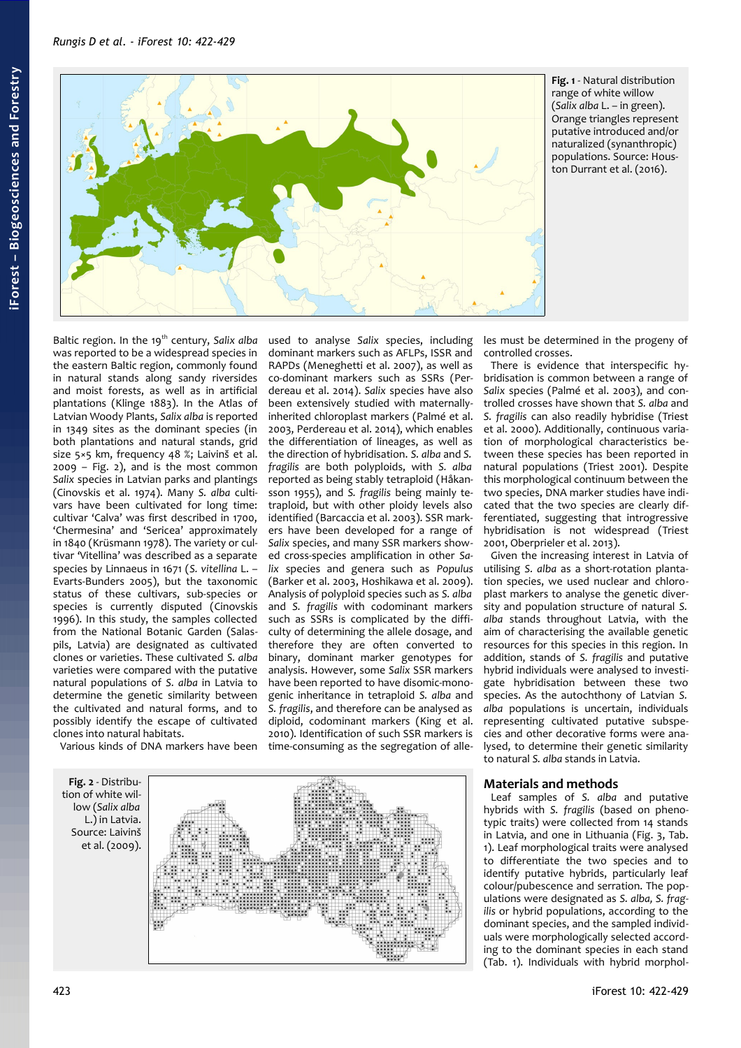*Rungis D et al. - iForest 10: 422-429*



<span id="page-1-0"></span>**Fig. 1** - Natural distribution range of white willow (*Salix alba* L. – in green). Orange triangles represent putative introduced and/or naturalized (synanthropic) populations. Source: Houston Durrant et al. (2016).

Baltic region. In the 19<sup>th</sup> century, Salix alba was reported to be a widespread species in the eastern Baltic region, commonly found in natural stands along sandy riversides and moist forests, as well as in artificial plantations (Klinge 1883). In the Atlas of Latvian Woody Plants, *Salix alba* is reported in 1349 sites as the dominant species (in both plantations and natural stands, grid size 5×5 km, frequency 48 %; Laivinš et al. 2009 – [Fig. 2\)](#page-1-1), and is the most common *Salix* species in Latvian parks and plantings (Cinovskis et al. 1974). Many *S. alba* cultivars have been cultivated for long time: cultivar 'Calva' was first described in 1700, 'Chermesina' and 'Sericea' approximately in 1840 (Krüsmann 1978). The variety or cultivar 'Vitellina' was described as a separate species by Linnaeus in 1671 (*S. vitellina* L. – Evarts-Bunders 2005), but the taxonomic status of these cultivars, sub-species or species is currently disputed (Cinovskis 1996). In this study, the samples collected from the National Botanic Garden (Salaspils, Latvia) are designated as cultivated clones or varieties. These cultivated *S. alba* varieties were compared with the putative natural populations of *S. alba* in Latvia to determine the genetic similarity between the cultivated and natural forms, and to possibly identify the escape of cultivated clones into natural habitats.

Various kinds of DNA markers have been

dominant markers such as AFLPs, ISSR and RAPDs (Meneghetti et al. 2007), as well as co-dominant markers such as SSRs (Perdereau et al. 2014). *Salix* species have also been extensively studied with maternallyinherited chloroplast markers (Palmé et al. 2003, Perdereau et al. 2014), which enables the differentiation of lineages, as well as the direction of hybridisation. *S. alba* and *S. fragilis* are both polyploids, with *S. alba* reported as being stably tetraploid (Håkansson 1955), and *S. fragilis* being mainly tetraploid, but with other ploidy levels also identified (Barcaccia et al. 2003). SSR markers have been developed for a range of *Salix* species, and many SSR markers showed cross-species amplification in other *Salix* species and genera such as *Populus* (Barker et al. 2003, Hoshikawa et al. 2009). Analysis of polyploid species such as *S. alba* and *S. fragilis* with codominant markers such as SSRs is complicated by the difficulty of determining the allele dosage, and therefore they are often converted to binary, dominant marker genotypes for analysis. However, some *Salix* SSR markers have been reported to have disomic-monogenic inheritance in tetraploid *S. alba* and *S. fragilis*, and therefore can be analysed as diploid, codominant markers (King et al. 2010). Identification of such SSR markers is time-consuming as the segregation of alle-

used to analyse *Salix* species, including

<span id="page-1-1"></span>**Fig. 2** - Distribution of white willow (*Salix alba* L.) in Latvia. Source: Laivinš et al. (2009).



les must be determined in the progeny of controlled crosses.

There is evidence that interspecific hybridisation is common between a range of *Salix* species (Palmé et al. 2003), and controlled crosses have shown that *S. alba* and *S. fragilis* can also readily hybridise (Triest et al. 2000). Additionally, continuous variation of morphological characteristics between these species has been reported in natural populations (Triest 2001). Despite this morphological continuum between the two species, DNA marker studies have indicated that the two species are clearly differentiated, suggesting that introgressive hybridisation is not widespread (Triest 2001, Oberprieler et al. 2013).

Given the increasing interest in Latvia of utilising *S. alba* as a short-rotation plantation species, we used nuclear and chloroplast markers to analyse the genetic diversity and population structure of natural *S. alba* stands throughout Latvia, with the aim of characterising the available genetic resources for this species in this region. In addition, stands of *S. fragilis* and putative hybrid individuals were analysed to investigate hybridisation between these two species. As the autochthony of Latvian *S. alba* populations is uncertain, individuals representing cultivated putative subspecies and other decorative forms were analysed, to determine their genetic similarity to natural *S. alba* stands in Latvia.

## **Materials and methods**

Leaf samples of *S. alba* and putative hybrids with *S. fragilis* (based on phenotypic traits) were collected from 14 stands in Latvia, and one in Lithuania [\(Fig. 3,](#page-2-1) [Tab.](#page-2-0) [1\)](#page-2-0). Leaf morphological traits were analysed to differentiate the two species and to identify putative hybrids, particularly leaf colour/pubescence and serration. The populations were designated as *S. alba, S. fragilis* or hybrid populations, according to the dominant species, and the sampled individuals were morphologically selected according to the dominant species in each stand [\(Tab. 1\)](#page-2-0). Individuals with hybrid morphol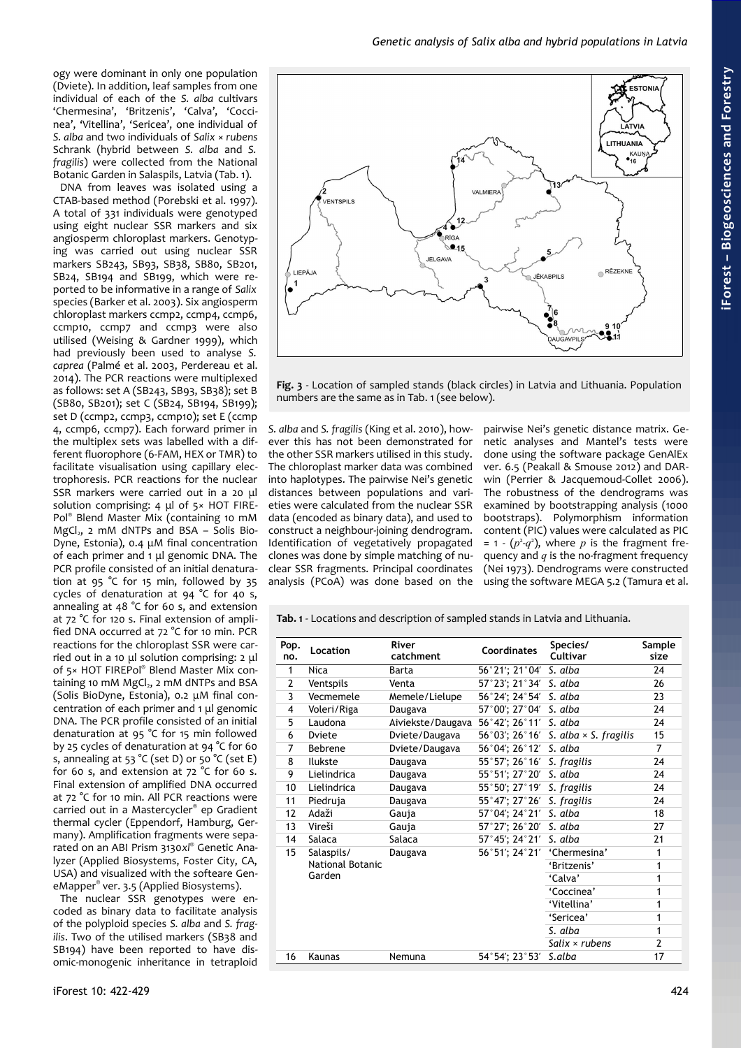*Genetic analysis of Salix alba and hybrid populations in Latvia*

ogy were dominant in only one population (Dviete). In addition, leaf samples from one individual of each of the *S. alba* cultivars 'Chermesina', 'Britzenis', 'Calva', 'Coccinea', 'Vitellina', 'Sericea', one individual of *S. alba* and two individuals of *Salix* × *rubens* Schrank (hybrid between *S. alba* and *S. fragilis*) were collected from the National Botanic Garden in Salaspils, Latvia [\(Tab. 1\)](#page-2-0).

DNA from leaves was isolated using a CTAB-based method (Porebski et al. 1997). A total of 331 individuals were genotyped using eight nuclear SSR markers and six angiosperm chloroplast markers. Genotyping was carried out using nuclear SSR markers SB243, SB93, SB38, SB80, SB201, SB24, SB194 and SB199, which were reported to be informative in a range of *Salix* species (Barker et al. 2003). Six angiosperm chloroplast markers ccmp2, ccmp4, ccmp6, ccmp10, ccmp7 and ccmp3 were also utilised (Weising & Gardner 1999), which had previously been used to analyse *S. caprea* (Palmé et al. 2003, Perdereau et al. 2014). The PCR reactions were multiplexed as follows: set A (SB243, SB93, SB38); set B (SB80, SB201); set C (SB24, SB194, SB199); set D (ccmp2, ccmp3, ccmp10); set E (ccmp 4, ccmp6, ccmp7). Each forward primer in the multiplex sets was labelled with a different fluorophore (6-FAM, HEX or TMR) to facilitate visualisation using capillary electrophoresis. PCR reactions for the nuclear SSR markers were carried out in a 20 μl solution comprising: 4 μl of 5× HOT FIRE-Pol® Blend Master Mix (containing 10 mM  $MgCl<sub>2</sub>$ , 2 mM dNTPs and BSA – Solis Bio-Dyne, Estonia), 0.4 μM final concentration of each primer and 1 μl genomic DNA. The PCR profile consisted of an initial denaturation at 95 °C for 15 min, followed by 35 cycles of denaturation at 94 °C for 40 s, annealing at 48 °C for 60 s, and extension at 72 °C for 120 s. Final extension of amplified DNA occurred at 72 °C for 10 min. PCR reactions for the chloroplast SSR were carried out in a 10 μl solution comprising: 2 μl of 5× HOT FIREPol® Blend Master Mix containing 10 mM  $MgCl<sub>2</sub>$ , 2 mM dNTPs and BSA (Solis BioDyne, Estonia), 0.2 μM final concentration of each primer and 1 μl genomic DNA. The PCR profile consisted of an initial denaturation at 95 °C for 15 min followed by 25 cycles of denaturation at 94 °C for 60 s, annealing at 53 °C (set D) or 50 °C (set E) for 60 s, and extension at 72 °C for 60 s. Final extension of amplified DNA occurred at 72 °C for 10 min. All PCR reactions were carried out in a Mastercycler® ep Gradient thermal cycler (Eppendorf, Hamburg, Germany). Amplification fragments were separated on an ABI Prism 3130*xl*® Genetic Analyzer (Applied Biosystems, Foster City, CA, USA) and visualized with the softeare GeneMapper® ver. 3.5 (Applied Biosystems).

The nuclear SSR genotypes were encoded as binary data to facilitate analysis of the polyploid species *S. alba* and *S. fragilis*. Two of the utilised markers (SB38 and SB194) have been reported to have disomic-monogenic inheritance in tetraploid



<span id="page-2-1"></span>**Fig. 3** - Location of sampled stands (black circles) in Latvia and Lithuania. Population numbers are the same as in [Tab. 1](#page-2-0) (see below).

*S. alba* and *S. fragilis* (King et al. 2010), however this has not been demonstrated for the other SSR markers utilised in this study. The chloroplast marker data was combined into haplotypes. The pairwise Nei's genetic distances between populations and varieties were calculated from the nuclear SSR data (encoded as binary data), and used to construct a neighbour-joining dendrogram. Identification of vegetatively propagated clones was done by simple matching of nuclear SSR fragments. Principal coordinates analysis (PCoA) was done based on the

pairwise Nei's genetic distance matrix. Genetic analyses and Mantel's tests were done using the software package GenAlEx ver. 6.5 (Peakall & Smouse 2012) and DARwin (Perrier & Jacquemoud-Collet 2006). The robustness of the dendrograms was examined by bootstrapping analysis (1000 bootstraps). Polymorphism information content (PIC) values were calculated as PIC  $= 1 - (p<sup>2</sup>-q<sup>2</sup>)$ , where *p* is the fragment frequency and *q* is the no-fragment frequency (Nei 1973). Dendrograms were constructed using the software MEGA 5.2 (Tamura et al.

<span id="page-2-0"></span>**Tab. 1** - Locations and description of sampled stands in Latvia and Lithuania.

| Pop.<br>no.    | Location                                        | River<br>catchment | <b>Coordinates</b> | Species/<br>Cultivar         | Sample<br>size |
|----------------|-------------------------------------------------|--------------------|--------------------|------------------------------|----------------|
| 1              | <b>Nica</b>                                     | Barta              | 56°21'; 21°04′     | S. alba                      | 24             |
| $\overline{2}$ | Ventspils                                       | Venta              | 57°23'; 21°34'     | S. alba                      | 26             |
| 3              | Vecmemele                                       | Memele/Lielupe     | 56°24′; 24°54′     | S. alba                      | 23             |
| 4              | Voleri/Riga                                     | Daugava            | 57°00'; 27°04'     | S. alba                      | 24             |
| 5              | Laudona                                         | Aiviekste/Daugava  | 56°42'; 26°11'     | S. alba                      | 24             |
| 6              | Dviete                                          | Dviete/Daugava     | 56°03′; 26°16′     | S. alba $\times$ S. fragilis | 15             |
| 7              | <b>Bebrene</b>                                  | Dviete/Daugava     | 56°04'; 26°12'     | S. alba                      | 7              |
| 8              | Ilukste                                         | Daugava            | 55°57'; 26°16'     | S. fragilis                  | 24             |
| 9              | Lielindrica                                     | Daugava            | 55°51′; 27°20′     | S. alba                      | 24             |
| 10             | Lielindrica                                     | Daugava            | 55°50′; 27°19′     | S. fragilis                  | 24             |
| 11             | Piedruja                                        | Daugava            | 55°47'; 27°26'     | S. fragilis                  | 24             |
| 12             | Adaži                                           | Gauja              | 57°04'; 24°21'     | S. alba                      | 18             |
| 13             | Vireši                                          | Gauja              | 57°27'; 26°20′     | S. alba                      | 27             |
| 14             | Salaca                                          | Salaca             | 57°45'; 24°21'     | S. alba                      | 21             |
| 15             | Salaspils/<br><b>National Botanic</b><br>Garden | Daugava            | 56°51′; 24°21′     | 'Chermesina'                 | 1              |
|                |                                                 |                    |                    | 'Britzenis'                  | 1              |
|                |                                                 |                    |                    | 'Calva'                      | 1              |
|                |                                                 |                    |                    | 'Coccinea'                   | 1              |
|                |                                                 |                    |                    | 'Vitellina'                  | 1              |
|                |                                                 |                    |                    | 'Sericea'                    | 1              |
|                |                                                 |                    |                    | S. alba                      | 1              |
|                |                                                 |                    |                    | Salix $\times$ rubens        | $\overline{2}$ |
| 16             | Kaunas                                          | Nemuna             | 54°54'; 23°53'     | S.alba                       | 17             |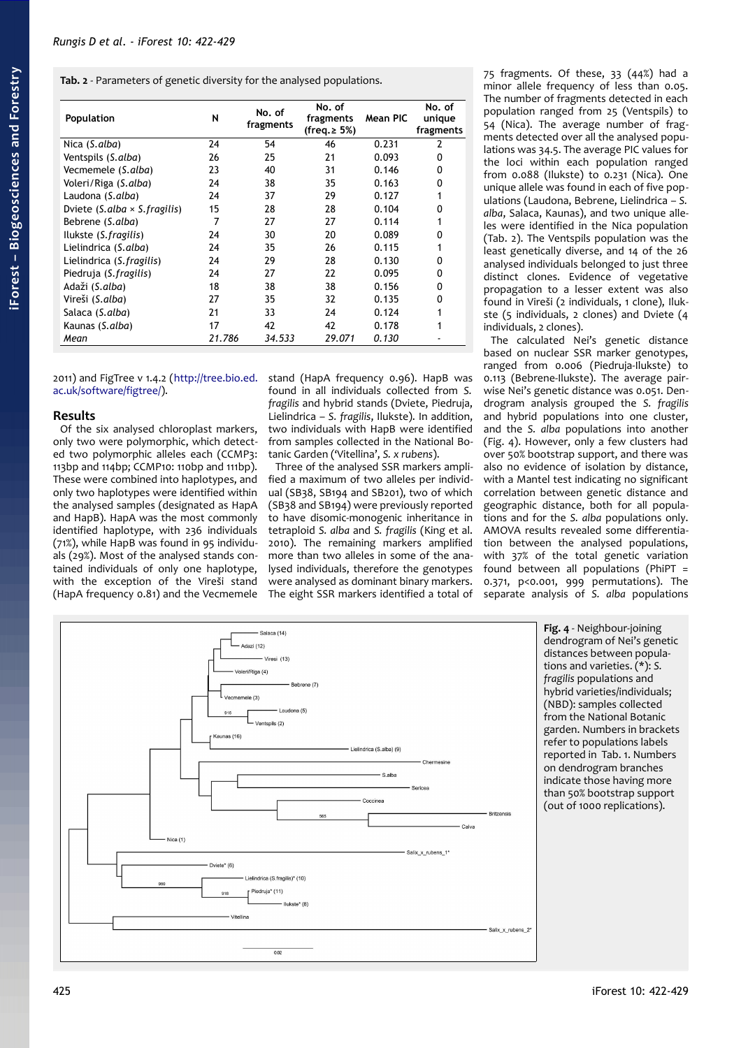<span id="page-3-1"></span>**Tab. 2** - Parameters of genetic diversity for the analysed populations.

| Population                           | N      | No. of<br>fragments | No. of<br>fragments<br>(freq.≥ 5%) | Mean PIC | No. of<br>unique<br>fragments |
|--------------------------------------|--------|---------------------|------------------------------------|----------|-------------------------------|
| Nica (S.alba)                        | 24     | 54                  | 46                                 | 0.231    | 2                             |
| Ventspils (S.alba)                   | 26     | 25                  | 21                                 | 0.093    | 0                             |
| Vecmemele (S.alba)                   | 23     | 40                  | 31                                 | 0.146    | 0                             |
| Voleri/Riga (S.alba)                 | 24     | 38                  | 35                                 | 0.163    | 0                             |
| Laudona (S.alba)                     | 24     | 37                  | 29                                 | 0.127    |                               |
| Dviete (S.alba $\times$ S. fragilis) | 15     | 28                  | 28                                 | 0.104    | 0                             |
| Bebrene (S.alba)                     | 7      | 27                  | 27                                 | 0.114    |                               |
| Ilukste (S. fragilis)                | 24     | 30                  | 20                                 | 0.089    | 0                             |
| Lielindrica (S.alba)                 | 24     | 35                  | 26                                 | 0.115    |                               |
| Lielindrica (S. fragilis)            | 24     | 29                  | 28                                 | 0.130    | 0                             |
| Piedruja (S. fragilis)               | 24     | 27                  | 22                                 | 0.095    | 0                             |
| Adaži (S.alba)                       | 18     | 38                  | 38                                 | 0.156    | 0                             |
| Vireši (S.alba)                      | 27     | 35                  | 32                                 | 0.135    | 0                             |
| Salaca (S.alba)                      | 21     | 33                  | 24                                 | 0.124    |                               |
| Kaunas (S.alba)                      | 17     | 42                  | 42                                 | 0.178    |                               |
| Mean                                 | 21.786 | 34.533              | 29.071                             | 0.130    |                               |

[ac.uk/software/figtree/\)](http://tree.bio.ed.ac.uk/software/figtree/).

## **Results**

Of the six analysed chloroplast markers, only two were polymorphic, which detected two polymorphic alleles each (CCMP3: 113bp and 114bp; CCMP10: 110bp and 111bp). These were combined into haplotypes, and only two haplotypes were identified within the analysed samples (designated as HapA and HapB). HapA was the most commonly identified haplotype, with 236 individuals (71%), while HapB was found in 95 individuals (29%). Most of the analysed stands contained individuals of only one haplotype, with the exception of the Vireši stand (HapA frequency 0.81) and the Vecmemele

2011) and FigTree v 1.4.2 [\(http://tree.bio.ed.](http://tree.bio.ed.ac.uk/software/figtree/) stand (HapA frequency 0.96). HapB was found in all individuals collected from *S. fragilis* and hybrid stands (Dviete, Piedruja, Lielindrica – *S. fragilis*, Ilukste). In addition, two individuals with HapB were identified from samples collected in the National Botanic Garden ('Vitellina', *S. x rubens*).

Three of the analysed SSR markers amplified a maximum of two alleles per individual (SB38, SB194 and SB201), two of which (SB38 and SB194) were previously reported to have disomic-monogenic inheritance in tetraploid *S. alba* and *S. fragilis* (King et al. 2010). The remaining markers amplified more than two alleles in some of the analysed individuals, therefore the genotypes were analysed as dominant binary markers. The eight SSR markers identified a total of

75 fragments. Of these, 33 (44%) had a minor allele frequency of less than 0.05. The number of fragments detected in each population ranged from 25 (Ventspils) to 54 (Nica). The average number of fragments detected over all the analysed populations was 34.5. The average PIC values for the loci within each population ranged from 0.088 (Ilukste) to 0.231 (Nica). One unique allele was found in each of five populations (Laudona, Bebrene, Lielindrica – *S. alba*, Salaca, Kaunas), and two unique alleles were identified in the Nica population [\(Tab. 2\)](#page-3-1). The Ventspils population was the least genetically diverse, and 14 of the 26 analysed individuals belonged to just three distinct clones. Evidence of vegetative propagation to a lesser extent was also found in Vireši (2 individuals, 1 clone), Ilukste (5 individuals, 2 clones) and Dviete (4 individuals, 2 clones).

<span id="page-3-0"></span>The calculated Nei's genetic distance based on nuclear SSR marker genotypes, ranged from 0.006 (Piedruja-Ilukste) to 0.113 (Bebrene-Ilukste). The average pairwise Nei's genetic distance was 0.051. Dendrogram analysis grouped the *S. fragilis* and hybrid populations into one cluster, and the *S. alba* populations into another [\(Fig. 4\)](#page-3-0). However, only a few clusters had over 50% bootstrap support, and there was also no evidence of isolation by distance, with a Mantel test indicating no significant correlation between genetic distance and geographic distance, both for all populations and for the *S. alba* populations only. AMOVA results revealed some differentiation between the analysed populations, with 37% of the total genetic variation found between all populations (PhiPT = 0.371, p<0.001, 999 permutations). The separate analysis of *S. alba* populations

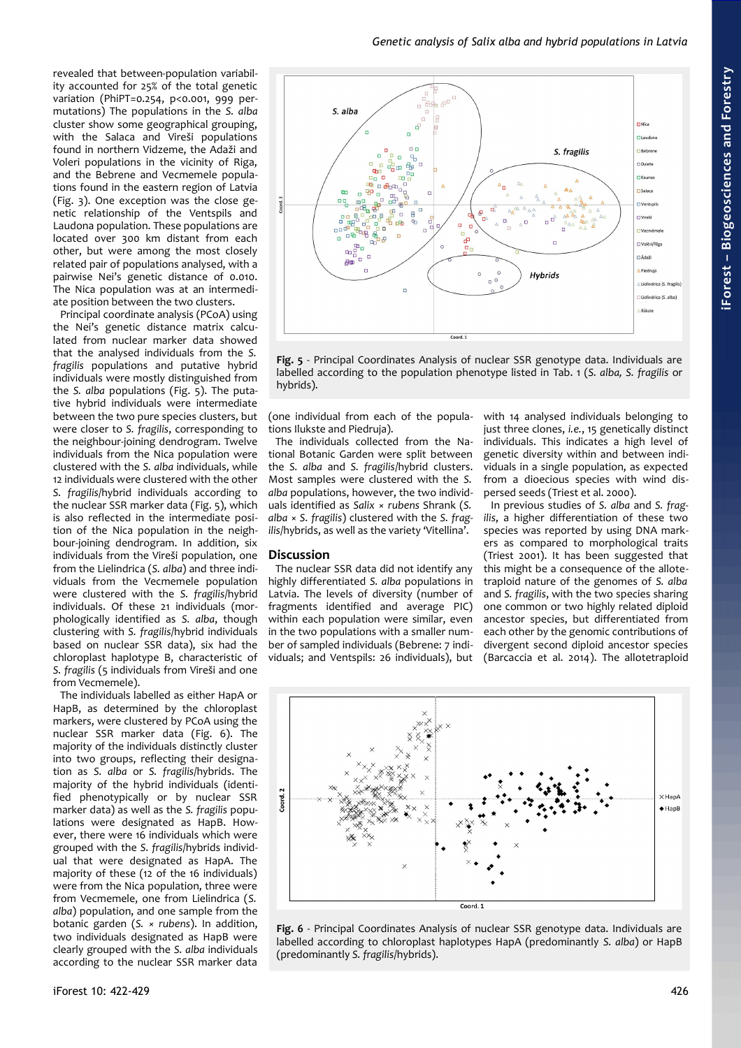revealed that between-population variability accounted for 25% of the total genetic variation (PhiPT=0.254, p<0.001, 999 permutations) The populations in the *S. alba* cluster show some geographical grouping, with the Salaca and Vireši populations found in northern Vidzeme, the Adaži and Voleri populations in the vicinity of Riga, and the Bebrene and Vecmemele populations found in the eastern region of Latvia [\(Fig. 3\)](#page-2-1). One exception was the close genetic relationship of the Ventspils and Laudona population. These populations are located over 300 km distant from each other, but were among the most closely related pair of populations analysed, with a pairwise Nei's genetic distance of 0.010. The Nica population was at an intermediate position between the two clusters.

Principal coordinate analysis (PCoA) using the Nei's genetic distance matrix calculated from nuclear marker data showed that the analysed individuals from the *S. fragilis* populations and putative hybrid individuals were mostly distinguished from the *S. alba* populations [\(Fig. 5\)](#page-4-1). The putative hybrid individuals were intermediate between the two pure species clusters, but were closer to *S. fragilis*, corresponding to the neighbour-joining dendrogram. Twelve individuals from the Nica population were clustered with the *S. alba* individuals, while 12 individuals were clustered with the other *S. fragilis*/hybrid individuals according to the nuclear SSR marker data [\(Fig. 5\)](#page-4-1), which is also reflected in the intermediate position of the Nica population in the neighbour-joining dendrogram. In addition, six individuals from the Vireši population, one from the Lielindrica (*S. alba*) and three individuals from the Vecmemele population were clustered with the *S. fragilis*/hybrid individuals. Of these 21 individuals (morphologically identified as *S. alba*, though clustering with *S. fragilis*/hybrid individuals based on nuclear SSR data), six had the chloroplast haplotype B, characteristic of *S. fragilis* (5 individuals from Vireši and one from Vecmemele).

The individuals labelled as either HapA or HapB, as determined by the chloroplast markers, were clustered by PCoA using the nuclear SSR marker data [\(Fig. 6\)](#page-4-0). The majority of the individuals distinctly cluster into two groups, reflecting their designation as *S. alba* or *S. fragilis*/hybrids. The majority of the hybrid individuals (identified phenotypically or by nuclear SSR marker data) as well as the *S. fragilis* populations were designated as HapB. However, there were 16 individuals which were grouped with the *S. fragilis*/hybrids individual that were designated as HapA. The majority of these (12 of the 16 individuals) were from the Nica population, three were from Vecmemele, one from Lielindrica (*S. alba*) population, and one sample from the botanic garden (*S. × rubens*). In addition, two individuals designated as HapB were clearly grouped with the *S. alba* individuals according to the nuclear SSR marker data



<span id="page-4-1"></span>**Fig. 5** - Principal Coordinates Analysis of nuclear SSR genotype data. Individuals are labelled according to the population phenotype listed in [Tab. 1](#page-2-0) (*S. alba, S. fragilis* or hybrids).

(one individual from each of the populations Ilukste and Piedruja).

The individuals collected from the National Botanic Garden were split between the *S. alba* and *S. fragilis*/hybrid clusters. Most samples were clustered with the *S. alba* populations, however, the two individuals identified as *Salix* × *rubens* Shrank (*S. alba* × *S. fragilis*) clustered with the *S. fragilis*/hybrids, as well as the variety 'Vitellina'.

The nuclear SSR data did not identify any highly differentiated *S. alba* populations in Latvia. The levels of diversity (number of fragments identified and average PIC) within each population were similar, even in the two populations with a smaller number of sampled individuals (Bebrene: 7 individuals; and Ventspils: 26 individuals), but

**Discussion**

with 14 analysed individuals belonging to just three clones, *i.e.*, 15 genetically distinct individuals. This indicates a high level of genetic diversity within and between individuals in a single population, as expected from a dioecious species with wind dispersed seeds (Triest et al. 2000).

In previous studies of *S. alba* and *S. fragilis*, a higher differentiation of these two species was reported by using DNA markers as compared to morphological traits (Triest 2001). It has been suggested that this might be a consequence of the allotetraploid nature of the genomes of *S. alba* and *S. fragilis*, with the two species sharing one common or two highly related diploid ancestor species, but differentiated from each other by the genomic contributions of divergent second diploid ancestor species (Barcaccia et al. 2014). The allotetraploid



<span id="page-4-0"></span>**Fig. 6** - Principal Coordinates Analysis of nuclear SSR genotype data. Individuals are labelled according to chloroplast haplotypes HapA (predominantly *S. alba*) or HapB (predominantly *S. fragilis*/hybrids).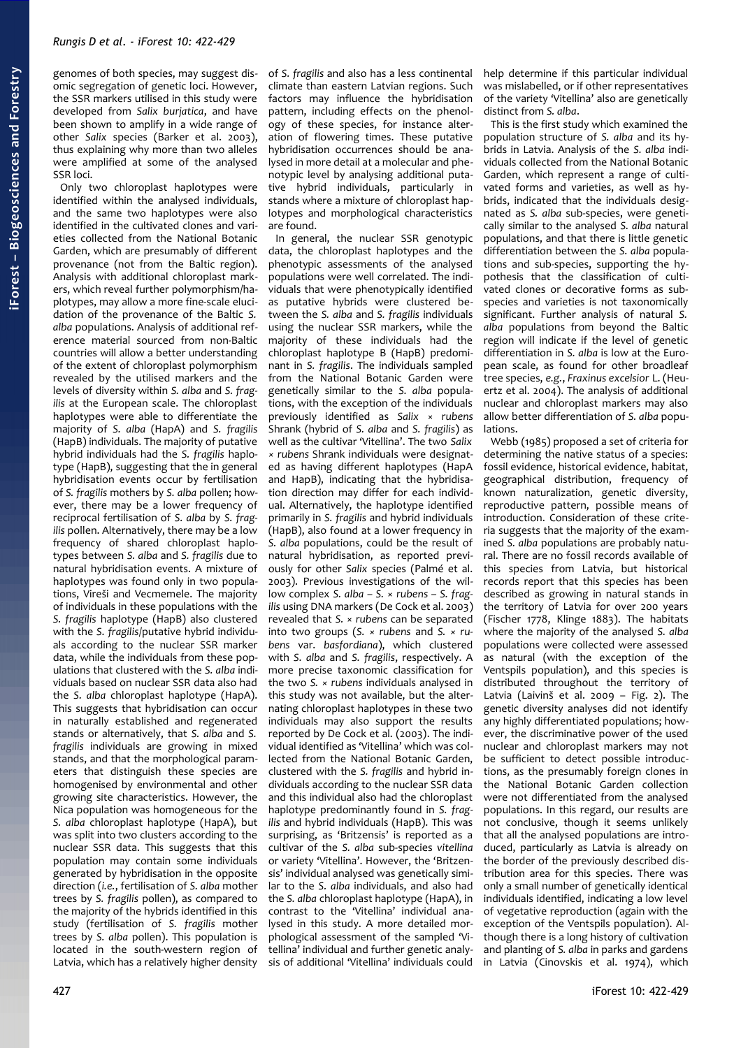Only two chloroplast haplotypes were identified within the analysed individuals, and the same two haplotypes were also identified in the cultivated clones and varieties collected from the National Botanic Garden, which are presumably of different provenance (not from the Baltic region). Analysis with additional chloroplast markers, which reveal further polymorphism/haplotypes, may allow a more fine-scale elucidation of the provenance of the Baltic *S. alba* populations. Analysis of additional reference material sourced from non-Baltic countries will allow a better understanding of the extent of chloroplast polymorphism revealed by the utilised markers and the levels of diversity within *S. alba* and *S. fragilis* at the European scale. The chloroplast haplotypes were able to differentiate the majority of *S. alba* (HapA) and *S. fragilis* (HapB) individuals. The majority of putative hybrid individuals had the *S. fragilis* haplotype (HapB), suggesting that the in general hybridisation events occur by fertilisation of *S. fragilis* mothers by *S. alba* pollen; however, there may be a lower frequency of reciprocal fertilisation of *S. alba* by *S. fragilis* pollen. Alternatively, there may be a low frequency of shared chloroplast haplotypes between *S. alba* and *S. fragilis* due to natural hybridisation events. A mixture of haplotypes was found only in two populations, Vireši and Vecmemele. The majority of individuals in these populations with the *S. fragilis* haplotype (HapB) also clustered with the *S. fragilis*/putative hybrid individuals according to the nuclear SSR marker data, while the individuals from these populations that clustered with the *S. alba* individuals based on nuclear SSR data also had the *S. alba* chloroplast haplotype (HapA). This suggests that hybridisation can occur in naturally established and regenerated stands or alternatively, that *S. alba* and *S. fragilis* individuals are growing in mixed stands, and that the morphological parameters that distinguish these species are homogenised by environmental and other growing site characteristics. However, the Nica population was homogeneous for the *S. alba* chloroplast haplotype (HapA), but was split into two clusters according to the nuclear SSR data. This suggests that this population may contain some individuals generated by hybridisation in the opposite direction (*i.e.*, fertilisation of *S. alba* mother trees by *S. fragilis* pollen), as compared to the majority of the hybrids identified in this study (fertilisation of *S. fragilis* mother trees by *S. alba* pollen). This population is located in the south-western region of Latvia, which has a relatively higher density of *S. fragilis* and also has a less continental climate than eastern Latvian regions. Such factors may influence the hybridisation pattern, including effects on the phenology of these species, for instance alteration of flowering times. These putative hybridisation occurrences should be analysed in more detail at a molecular and phenotypic level by analysing additional putative hybrid individuals, particularly in stands where a mixture of chloroplast haplotypes and morphological characteristics are found.

In general, the nuclear SSR genotypic data, the chloroplast haplotypes and the phenotypic assessments of the analysed populations were well correlated. The individuals that were phenotypically identified as putative hybrids were clustered between the *S. alba* and *S. fragilis* individuals using the nuclear SSR markers, while the majority of these individuals had the chloroplast haplotype B (HapB) predominant in *S. fragilis*. The individuals sampled from the National Botanic Garden were genetically similar to the *S. alba* populations, with the exception of the individuals previously identified as *Salix* × *rubens* Shrank (hybrid of *S. alba* and *S. fragilis*) as well as the cultivar 'Vitellina'. The two *Salix × rubens* Shrank individuals were designated as having different haplotypes (HapA and HapB), indicating that the hybridisation direction may differ for each individual. Alternatively, the haplotype identified primarily in *S. fragilis* and hybrid individuals (HapB), also found at a lower frequency in *S. alba* populations, could be the result of natural hybridisation, as reported previously for other *Salix* species (Palmé et al. 2003). Previous investigations of the willow complex *S. alba – S.* × *rubens – S. fragilis* using DNA markers (De Cock et al. 2003) revealed that *S.* × *rubens* can be separated into two groups (*S. × rubens* and *S. × rubens* var. *basfordiana*), which clustered with *S. alba* and *S. fragilis*, respectively. A more precise taxonomic classification for the two *S. × rubens* individuals analysed in this study was not available, but the alternating chloroplast haplotypes in these two individuals may also support the results reported by De Cock et al. (2003). The individual identified as 'Vitellina' which was collected from the National Botanic Garden, clustered with the *S. fragilis* and hybrid individuals according to the nuclear SSR data and this individual also had the chloroplast haplotype predominantly found in *S. fragilis* and hybrid individuals (HapB). This was surprising, as 'Britzensis' is reported as a cultivar of the *S. alba* sub-species *vitellina* or variety 'Vitellina'. However, the 'Britzensis' individual analysed was genetically similar to the *S. alba* individuals, and also had the *S. alba* chloroplast haplotype (HapA), in contrast to the 'Vitellina' individual analysed in this study. A more detailed morphological assessment of the sampled 'Vitellina' individual and further genetic analysis of additional 'Vitellina' individuals could help determine if this particular individual was mislabelled, or if other representatives of the variety 'Vitellina' also are genetically distinct from *S. alba*.

This is the first study which examined the population structure of *S. alba* and its hybrids in Latvia. Analysis of the *S. alba* individuals collected from the National Botanic Garden, which represent a range of cultivated forms and varieties, as well as hybrids, indicated that the individuals designated as *S. alba* sub-species, were genetically similar to the analysed *S. alba* natural populations, and that there is little genetic differentiation between the *S. alba* populations and sub-species, supporting the hypothesis that the classification of cultivated clones or decorative forms as subspecies and varieties is not taxonomically significant. Further analysis of natural *S. alba* populations from beyond the Baltic region will indicate if the level of genetic differentiation in *S. alba* is low at the European scale, as found for other broadleaf tree species, *e.g.*, *Fraxinus excelsior* L. (Heuertz et al. 2004). The analysis of additional nuclear and chloroplast markers may also allow better differentiation of *S. alba* populations.

Webb (1985) proposed a set of criteria for determining the native status of a species: fossil evidence, historical evidence, habitat, geographical distribution, frequency of known naturalization, genetic diversity, reproductive pattern, possible means of introduction. Consideration of these criteria suggests that the majority of the examined *S. alba* populations are probably natural. There are no fossil records available of this species from Latvia, but historical records report that this species has been described as growing in natural stands in the territory of Latvia for over 200 years (Fischer 1778, Klinge 1883). The habitats where the majority of the analysed *S. alba* populations were collected were assessed as natural (with the exception of the Ventspils population), and this species is distributed throughout the territory of Latvia (Laivinš et al. 2009 – [Fig. 2\)](#page-1-1). The genetic diversity analyses did not identify any highly differentiated populations; however, the discriminative power of the used nuclear and chloroplast markers may not be sufficient to detect possible introductions, as the presumably foreign clones in the National Botanic Garden collection were not differentiated from the analysed populations. In this regard, our results are not conclusive, though it seems unlikely that all the analysed populations are introduced, particularly as Latvia is already on the border of the previously described distribution area for this species. There was only a small number of genetically identical individuals identified, indicating a low level of vegetative reproduction (again with the exception of the Ventspils population). Although there is a long history of cultivation and planting of *S. alba* in parks and gardens in Latvia (Cinovskis et al. 1974), which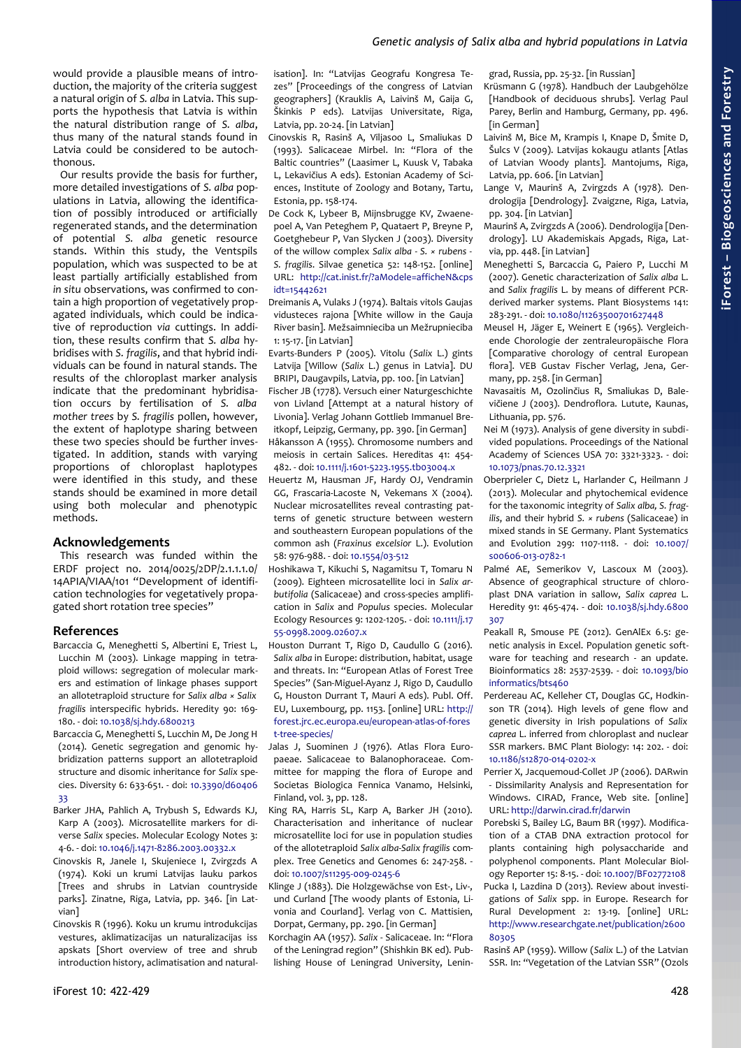## *Genetic analysis of Salix alba and hybrid populations in Latvia*

would provide a plausible means of introduction, the majority of the criteria suggest a natural origin of *S. alba* in Latvia. This supports the hypothesis that Latvia is within the natural distribution range of *S. alba*, thus many of the natural stands found in Latvia could be considered to be autochthonous.

Our results provide the basis for further, more detailed investigations of *S. alba* populations in Latvia, allowing the identification of possibly introduced or artificially regenerated stands, and the determination of potential *S. alba* genetic resource stands. Within this study, the Ventspils population, which was suspected to be at least partially artificially established from *in situ* observations, was confirmed to contain a high proportion of vegetatively propagated individuals, which could be indicative of reproduction *via* cuttings. In addition, these results confirm that *S. alba* hybridises with *S. fragilis*, and that hybrid individuals can be found in natural stands. The results of the chloroplast marker analysis indicate that the predominant hybridisation occurs by fertilisation of *S. alba mother trees* by *S. fragilis* pollen, however, the extent of haplotype sharing between these two species should be further investigated. In addition, stands with varying proportions of chloroplast haplotypes were identified in this study, and these stands should be examined in more detail using both molecular and phenotypic methods.

# **Acknowledgements**

This research was funded within the ERDF project no. 2014/0025/2DP/2.1.1.1.0/ 14APIA/VIAA/101 "Development of identification technologies for vegetatively propagated short rotation tree species"

#### **References**

- Barcaccia G, Meneghetti S, Albertini E, Triest L, Lucchin M (2003). Linkage mapping in tetraploid willows: segregation of molecular markers and estimation of linkage phases support an allotetraploid structure for *Salix alba × Salix fragilis* interspecific hybrids. Heredity 90: 169- 180. - doi: [10.1038/sj.hdy.6800213](http://dx.doi.org/10.1038/sj.hdy.6800213)
- Barcaccia G, Meneghetti S, Lucchin M, De Jong H (2014). Genetic segregation and genomic hybridization patterns support an allotetraploid structure and disomic inheritance for *Salix* species. Diversity 6: 633-651. - doi: [10.3390/d60406](http://dx.doi.org/10.3390/d6040633) [33](http://dx.doi.org/10.3390/d6040633)
- Barker JHA, Pahlich A, Trybush S, Edwards KJ, Karp A (2003). Microsatellite markers for diverse *Salix* species. Molecular Ecology Notes 3: 4-6. - doi: [10.1046/j.1471-8286.2003.00332.x](http://dx.doi.org/10.1046/j.1471-8286.2003.00332.x)
- Cinovskis R, Janele I, Skujeniece I, Zvirgzds A (1974). Koki un krumi Latvijas lauku parkos [Trees and shrubs in Latvian countryside parks]. Zinatne, Riga, Latvia, pp. 346. [in Latvian]
- Cinovskis R (1996). Koku un krumu introdukcijas vestures, aklimatizacijas un naturalizacijas iss apskats [Short overview of tree and shrub introduction history, aclimatisation and natural-

isation]. In: "Latvijas Geografu Kongresa Tezes" [Proceedings of the congress of Latvian geographers] (Krauklis A, Laivinš M, Gaija G, Škinkis P eds). Latvijas Universitate, Riga, Latvia, pp. 20-24. [in Latvian]

- Cinovskis R, Rasinš A, Viljasoo L, Smaliukas D (1993). Salicaceae Mirbel. In: "Flora of the Baltic countries" (Laasimer L, Kuusk V, Tabaka L, Lekavičius A eds). Estonian Academy of Sciences, Institute of Zoology and Botany, Tartu, Estonia, pp. 158-174.
- De Cock K, Lybeer B, Mijnsbrugge KV, Zwaenepoel A, Van Peteghem P, Quataert P, Breyne P, Goetghebeur P, Van Slycken J (2003). Diversity of the willow complex *Salix alba - S. × rubens - S. fragilis*. Silvae genetica 52: 148-152. [online] URL: [http://cat.inist.fr/?aModele=afficheN&cps](http://cat.inist.fr/?aModele=afficheN&cpsidt=15442621) [idt=15442621](http://cat.inist.fr/?aModele=afficheN&cpsidt=15442621)
- Dreimanis A, Vulaks J (1974). Baltais vitols Gaujas vidusteces rajona [White willow in the Gauja River basin]. Mežsaimnieciba un Mežrupnieciba 1: 15-17. [in Latvian]
- Evarts-Bunders P (2005). Vitolu (*Salix* L.) gints Latvija [Willow (*Salix* L.) genus in Latvia]. DU BRIPI, Daugavpils, Latvia, pp. 100. [in Latvian]
- Fischer JB (1778). Versuch einer Naturgeschichte von Livland [Attempt at a natural history of Livonia]. Verlag Johann Gottlieb Immanuel Breitkopf, Leipzig, Germany, pp. 390. [in German] Håkansson A (1955). Chromosome numbers and meiosis in certain Salices. Hereditas 41: 454- 482. - doi: [10.1111/j.1601-5223.1955.tb03004.x](http://dx.doi.org/10.1111/j.1601-5223.1955.tb03004.x)
- Heuertz M, Hausman JF, Hardy OJ, Vendramin GG, Frascaria-Lacoste N, Vekemans X (2004). Nuclear microsatellites reveal contrasting patterns of genetic structure between western and southeastern European populations of the common ash (*Fraxinus excelsior* L.). Evolution 58: 976-988. - doi: [10.1554/03-512](http://dx.doi.org/10.1554/03-512)
- Hoshikawa T, Kikuchi S, Nagamitsu T, Tomaru N (2009). Eighteen microsatellite loci in *Salix arbutifolia* (Salicaceae) and cross-species amplification in *Salix* and *Populus* species. Molecular Ecology Resources 9: 1202-1205. - doi: [10.1111/j.17](http://dx.doi.org/10.1111/j.1755-0998.2009.02607.x) [55-0998.2009.02607.x](http://dx.doi.org/10.1111/j.1755-0998.2009.02607.x)
- Houston Durrant T, Rigo D, Caudullo G (2016). *Salix alba* in Europe: distribution, habitat, usage and threats. In: "European Atlas of Forest Tree Species" (San-Miguel-Ayanz J, Rigo D, Caudullo G, Houston Durrant T, Mauri A eds). Publ. Off. EU, Luxembourg, pp. 1153. [online] URL: [http://](http://forest.jrc.ec.europa.eu/european-atlas-of-forest-tree-species/) [forest.jrc.ec.europa.eu/european-atlas-of-fores](http://forest.jrc.ec.europa.eu/european-atlas-of-forest-tree-species/) [t-tree-species/](http://forest.jrc.ec.europa.eu/european-atlas-of-forest-tree-species/)
- Jalas J, Suominen J (1976). Atlas Flora Europaeae. Salicaceae to Balanophoraceae. Committee for mapping the flora of Europe and Societas Biologica Fennica Vanamo, Helsinki, Finland, vol. 3, pp. 128.
- King RA, Harris SL, Karp A, Barker JH (2010). Characterisation and inheritance of nuclear microsatellite loci for use in population studies of the allotetraploid *Salix alba-Salix fragilis* complex. Tree Genetics and Genomes 6: 247-258. doi: [10.1007/s11295-009-0245-6](http://dx.doi.org/10.1007/s11295-009-0245-6)
- Klinge J (1883). Die Holzgewächse von Est-, Liv-, und Curland [The woody plants of Estonia, Livonia and Courland]. Verlag von C. Mattisien, Dorpat, Germany, pp. 290. [in German]
- Korchagin AA (1957). *Salix*  Salicaceae. In: "Flora of the Leningrad region" (Shishkin BK ed). Publishing House of Leningrad University, Lenin-

grad, Russia, pp. 25-32. [in Russian]

- Krüsmann G (1978). Handbuch der Laubgehölze [Handbook of deciduous shrubs]. Verlag Paul Parey, Berlin and Hamburg, Germany, pp. 496. [in German]
- Laivinš M, Bice M, Krampis I, Knape D, Šmite D, Šulcs V (2009). Latvijas kokaugu atlants [Atlas of Latvian Woody plants]. Mantojums, Riga, Latvia, pp. 606. [in Latvian]
- Lange V, Maurinš A, Zvirgzds A (1978). Dendrologija [Dendrology]. Zvaigzne, Riga, Latvia, pp. 304. [in Latvian]
- Maurinš A, Zvirgzds A (2006). Dendrologija [Dendrology]. LU Akademiskais Apgads, Riga, Latvia, pp. 448. [in Latvian]
- Meneghetti S, Barcaccia G, Paiero P, Lucchi M (2007). Genetic characterization of *Salix alba* L. and *Salix fragilis* L. by means of different PCRderived marker systems. Plant Biosystems 141: 283-291. - doi: [10.1080/11263500701627448](http://dx.doi.org/10.1080/11263500701627448)
- Meusel H, Jäger E, Weinert E (1965). Vergleichende Chorologie der zentraleuropäische Flora [Comparative chorology of central European flora]. VEB Gustav Fischer Verlag, Jena, Germany, pp. 258. [in German]
- Navasaitis M, Ozolinčius R, Smaliukas D, Balevičiene J (2003). Dendroflora. Lutute, Kaunas, Lithuania, pp. 576.
- Nei M (1973). Analysis of gene diversity in subdivided populations. Proceedings of the National Academy of Sciences USA 70: 3321-3323. - doi: [10.1073/pnas.70.12.3321](http://dx.doi.org/10.1073/pnas.70.12.3321)
- Oberprieler C, Dietz L, Harlander C, Heilmann J (2013). Molecular and phytochemical evidence for the taxonomic integrity of *Salix alba, S. fragilis*, and their hybrid *S. × rubens* (Salicaceae) in mixed stands in SE Germany. Plant Systematics and Evolution 299: 1107-1118. - doi: [10.1007/](http://dx.doi.org/10.1007/s00606-013-0782-1) [s00606-013-0782-1](http://dx.doi.org/10.1007/s00606-013-0782-1)
- Palmé AE, Semerikov V, Lascoux M (2003). Absence of geographical structure of chloroplast DNA variation in sallow, *Salix caprea* L. Heredity 91: 465-474. - doi: [10.1038/sj.hdy.6800](http://dx.doi.org/10.1038/sj.hdy.6800307) [307](http://dx.doi.org/10.1038/sj.hdy.6800307)
- Peakall R, Smouse PE (2012). GenAlEx 6.5: genetic analysis in Excel. Population genetic software for teaching and research - an update. Bioinformatics 28: 2537-2539. - doi: [10.1093/bio](http://dx.doi.org/10.1093/bioinformatics/bts460) [informatics/bts460](http://dx.doi.org/10.1093/bioinformatics/bts460)
- Perdereau AC, Kelleher CT, Douglas GC, Hodkinson TR (2014). High levels of gene flow and genetic diversity in Irish populations of *Salix caprea* L. inferred from chloroplast and nuclear SSR markers. BMC Plant Biology: 14: 202. - doi: [10.1186/s12870-014-0202-x](http://dx.doi.org/10.1186/s12870-014-0202-x)
- Perrier X, Jacquemoud-Collet JP (2006). DARwin - Dissimilarity Analysis and Representation for Windows. CIRAD, France, Web site. [online] URL:<http://darwin.cirad.fr/darwin>
- Porebski S, Bailey LG, Baum BR (1997). Modification of a CTAB DNA extraction protocol for plants containing high polysaccharide and polyphenol components. Plant Molecular Biology Reporter 15: 8-15. - doi: [10.1007/BF02772108](http://dx.doi.org/10.1007/BF02772108)
- Pucka I, Lazdina D (2013). Review about investigations of *Salix* spp. in Europe. Research for Rural Development 2: 13-19. [online] URL: [http://www.researchgate.net/publication/2600](http://www.researchgate.net/publication/260080305) [80305](http://www.researchgate.net/publication/260080305)
- Rasinš AP (1959). Willow (*Salix* L.) of the Latvian SSR. In: "Vegetation of the Latvian SSR" (Ozols